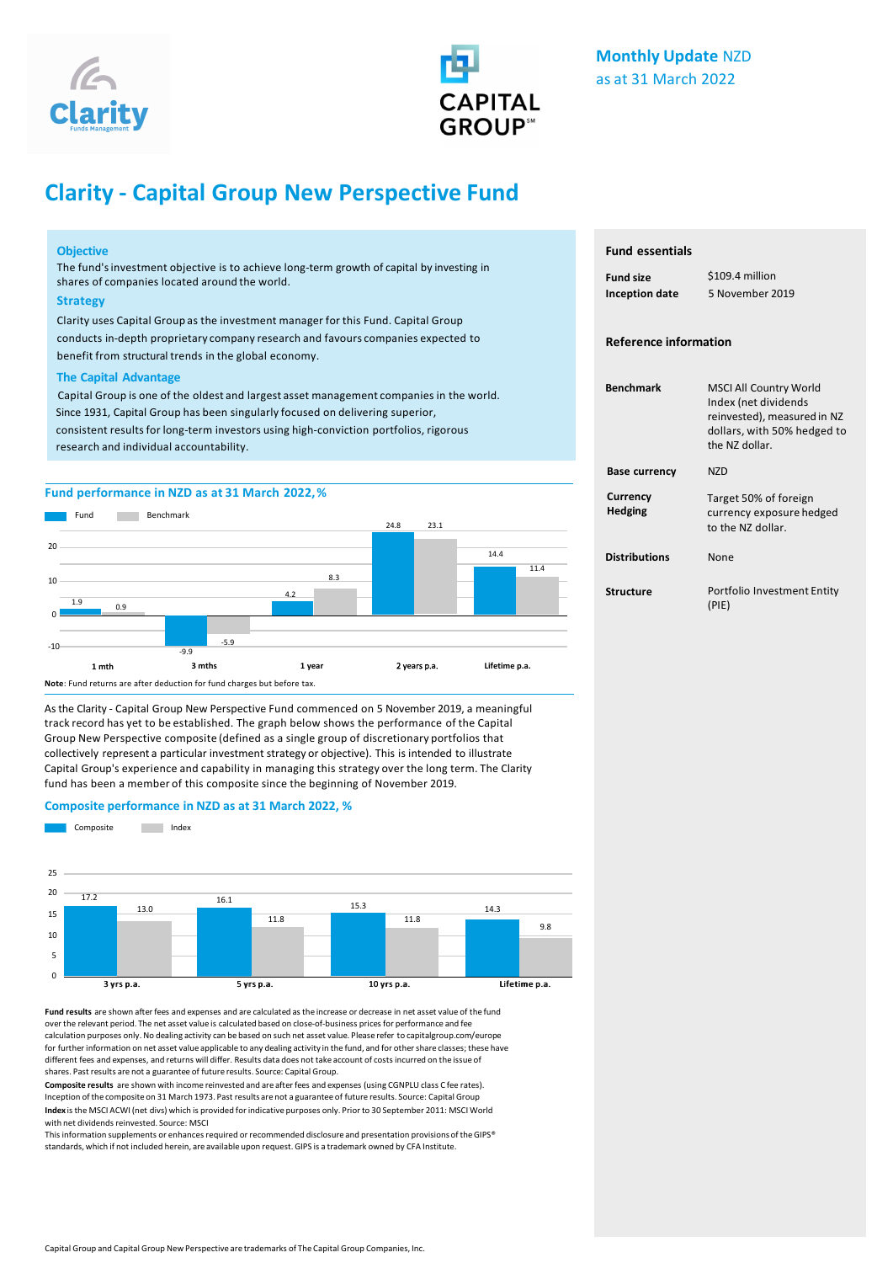



# **Clarity - Capital Group New Perspective Fund**

## **Objective**

The fund'sinvestment objective is to achieve long-term growth of capital by investing in shares of companies located around the world.

## **Strategy**

Clarity uses Capital Group as the investment manager for this Fund. Capital Group conducts in-depth proprietary company research and favours companies expected to benefit from structural trends in the global economy.

## **The Capital Advantage**

Capital Group is one of the oldest and largest asset management companies in the world. Since 1931, Capital Group has been singularly focused on delivering superior, consistent results for long-term investors using high-conviction portfolios, rigorous research and individual accountability.

# **Fund performance in NZD as at 31 March 2022,%**



As the Clarity - Capital Group New Perspective Fund commenced on 5 November 2019, a meaningful track record has yet to be established. The graph below shows the performance of the Capital Group New Perspective composite (defined as a single group of discretionary portfolios that collectively represent a particular investment strategy or objective). This is intended to illustrate Capital Group's experience and capability in managing this strategy over the long term. The Clarity fund has been a member of this composite since the beginning of November 2019.

#### **Composite performance in NZD as at 31 March 2022, %**



**Fund results** are shown after fees and expenses and are calculated as the increase or decrease in net asset value of the fund over the relevant period. The net asset value is calculated based on close-of-business prices for performance and fee calculation purposes only. No dealing activity can be based on such net asset value. Please refer to capitalgroup.com/europe for further information on net asset value applicable to any dealing activity in the fund, and for other share classes; these have different fees and expenses, and returns will differ. Results data does not take account of costs incurred on the issue of shares. Past results are not a guarantee of future results. Source: Capital Group.

**Composite results** are shown with income reinvested and are after fees and expenses (using CGNPLU class C fee rates). Inception ofthe composite on 31 March 1973. Past results are not a guarantee of future results. Source: Capital Group **Index** is the MSCI ACWI (net divs) which is provided for indicative purposes only. Prior to 30 September 2011: MSCI World with net dividends reinvested. Source: MSCI

This information supplements or enhances required or recommended disclosure and presentation provisions of the GIPS® standards, which if not included herein, are available upon request. GIPS is a trademark owned by CFA Institute.

# **Fund essentials**

| <b>Fund size</b>      | \$109.4 million |  |
|-----------------------|-----------------|--|
| <b>Inception date</b> | 5 November 2019 |  |

## **Reference information**

| <b>Benchmark</b>           | <b>MSCI All Country World</b><br>Index (net dividends<br>reinvested), measured in NZ<br>dollars, with 50% hedged to<br>the N7 dollar. |
|----------------------------|---------------------------------------------------------------------------------------------------------------------------------------|
| <b>Base currency</b>       | N7D                                                                                                                                   |
| Currency<br><b>Hedging</b> | Target 50% of foreign<br>currency exposure hedged<br>to the N7 dollar.                                                                |
| <b>Distributions</b>       | None                                                                                                                                  |
| Structure                  | Portfolio Investment Entity<br>(PIE)                                                                                                  |